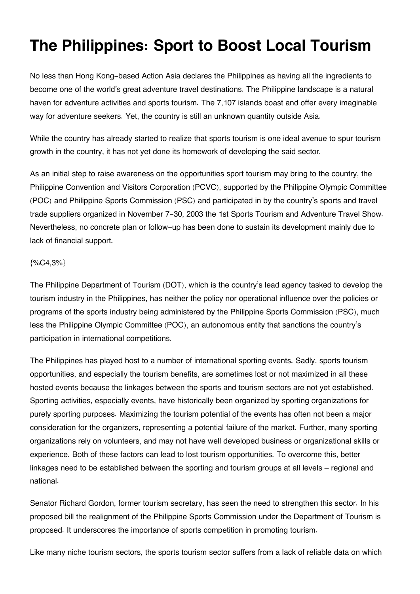## **The Philippines: Sport to Boost Local Tourism**

No less than Hong Kong-based Action Asia declares the Philippines as having all the ingredients to become one of the world's great adventure travel destinations. The Philippine landscape is a natural haven for adventure activities and sports tourism. The 7,107 islands boast and offer every imaginable way for adventure seekers. Yet, the country is still an unknown quantity outside Asia.

While the country has already started to realize that sports tourism is one ideal avenue to spur tourism growth in the country, it has not yet done its homework of developing the said sector.

As an initial step to raise awareness on the opportunities sport tourism may bring to the country, the Philippine Convention and Visitors Corporation (PCVC), supported by the Philippine Olympic Committee (POC) and Philippine Sports Commission (PSC) and participated in by the country's sports and travel trade suppliers organized in November 7-30, 2003 the 1st Sports Tourism and Adventure Travel Show. Nevertheless, no concrete plan or follow-up has been done to sustain its development mainly due to lack of financial support.

## {%C4,3%}

The Philippine Department of Tourism (DOT), which is the country's lead agency tasked to develop the tourism industry in the Philippines, has neither the policy nor operational influence over the policies or programs of the sports industry being administered by the Philippine Sports Commission (PSC), much less the Philippine Olympic Committee (POC), an autonomous entity that sanctions the country's participation in international competitions.

The Philippines has played host to a number of international sporting events. Sadly, sports tourism opportunities, and especially the tourism benefits, are sometimes lost or not maximized in all these hosted events because the linkages between the sports and tourism sectors are not yet established. Sporting activities, especially events, have historically been organized by sporting organizations for purely sporting purposes. Maximizing the tourism potential of the events has often not been a major consideration for the organizers, representing a potential failure of the market. Further, many sporting organizations rely on volunteers, and may not have well developed business or organizational skills or experience. Both of these factors can lead to lost tourism opportunities. To overcome this, better linkages need to be established between the sporting and tourism groups at all levels – regional and national.

Senator Richard Gordon, former tourism secretary, has seen the need to strengthen this sector. In his proposed bill the realignment of the Philippine Sports Commission under the Department of Tourism is proposed. It underscores the importance of sports competition in promoting tourism.

Like many niche tourism sectors, the sports tourism sector suffers from a lack of reliable data on which